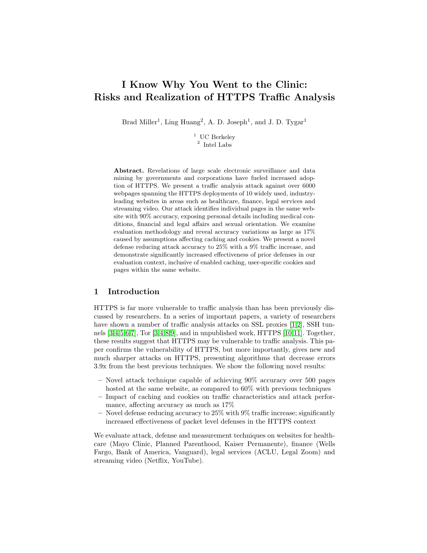# I Know Why You Went to the Clinic: Risks and Realization of HTTPS Traffic Analysis

Brad Miller<sup>1</sup>, Ling Huang<sup>2</sup>, A. D. Joseph<sup>1</sup>, and J. D. Tygar<sup>1</sup>

 $\footnotesize{1\over 2}$  UC Berkeley  $\footnotesize{1\over 2}$  Intel Labs

Abstract. Revelations of large scale electronic surveillance and data mining by governments and corporations have fueled increased adoption of HTTPS. We present a traffic analysis attack against over 6000 webpages spanning the HTTPS deployments of 10 widely used, industryleading websites in areas such as healthcare, finance, legal services and streaming video. Our attack identifies individual pages in the same website with 90% accuracy, exposing personal details including medical conditions, financial and legal affairs and sexual orientation. We examine evaluation methodology and reveal accuracy variations as large as 17% caused by assumptions affecting caching and cookies. We present a novel defense reducing attack accuracy to 25% with a 9% traffic increase, and demonstrate significantly increased effectiveness of prior defenses in our evaluation context, inclusive of enabled caching, user-specific cookies and pages within the same website.

# 1 Introduction

HTTPS is far more vulnerable to traffic analysis than has been previously discussed by researchers. In a series of important papers, a variety of researchers have shown a number of traffic analysis attacks on SSL proxies [\[1](#page-19-0)[,2\]](#page-19-1), SSH tunnels [\[3,](#page-19-2)[4,](#page-19-3)[5](#page-19-4)[,6,](#page-19-5)[7\]](#page-19-6), Tor [\[3](#page-19-2)[,4,](#page-19-3)[8,](#page-19-7)[9\]](#page-19-8), and in unpublished work, HTTPS [\[10](#page-19-9)[,11\]](#page-19-10). Together, these results suggest that HTTPS may be vulnerable to traffic analysis. This paper confirms the vulnerability of HTTPS, but more importantly, gives new and much sharper attacks on HTTPS, presenting algorithms that decrease errors 3.9x from the best previous techniques. We show the following novel results:

- Novel attack technique capable of achieving 90% accuracy over 500 pages hosted at the same website, as compared to 60% with previous techniques
- Impact of caching and cookies on traffic characteristics and attack performance, affecting accuracy as much as 17%
- Novel defense reducing accuracy to 25% with 9% traffic increase; significantly increased effectiveness of packet level defenses in the HTTPS context

We evaluate attack, defense and measurement techniques on websites for healthcare (Mayo Clinic, Planned Parenthood, Kaiser Permanente), finance (Wells Fargo, Bank of America, Vanguard), legal services (ACLU, Legal Zoom) and streaming video (Netflix, YouTube).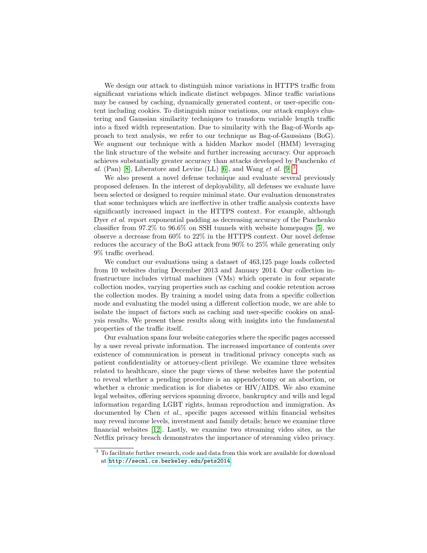We design our attack to distinguish minor variations in HTTPS traffic from significant variations which indicate distinct webpages. Minor traffic variations may be caused by caching, dynamically generated content, or user-specific content including cookies. To distinguish minor variations, our attack employs clustering and Gaussian similarity techniques to transform variable length traffic into a fixed width representation. Due to similarity with the Bag-of-Words approach to text analysis, we refer to our technique as Bag-of-Gaussians (BoG). We augment our technique with a hidden Markov model (HMM) leveraging the link structure of the website and further increasing accuracy. Our approach achieves substantially greater accuracy than attacks developed by Panchenko et al. (Pan) [\[8\]](#page-19-7), Liberatore and Levine (LL)  $[6]$ , and Wang et al.  $[9].3$  $[9].3$  $[9].3$ 

We also present a novel defense technique and evaluate several previously proposed defenses. In the interest of deployability, all defenses we evaluate have been selected or designed to require minimal state. Our evaluation demonstrates that some techniques which are ineffective in other traffic analysis contexts have significantly increased impact in the HTTPS context. For example, although Dyer et al. report exponential padding as decreasing accuracy of the Panchenko classifier from 97.2% to 96.6% on SSH tunnels with website homepages [\[5\]](#page-19-4), we observe a decrease from 60% to 22% in the HTTPS context. Our novel defense reduces the accuracy of the BoG attack from 90% to 25% while generating only 9% traffic overhead.

We conduct our evaluations using a dataset of 463,125 page loads collected from 10 websites during December 2013 and January 2014. Our collection infrastructure includes virtual machines (VMs) which operate in four separate collection modes, varying properties such as caching and cookie retention across the collection modes. By training a model using data from a specific collection mode and evaluating the model using a different collection mode, we are able to isolate the impact of factors such as caching and user-specific cookies on analysis results. We present these results along with insights into the fundamental properties of the traffic itself.

Our evaluation spans four website categories where the specific pages accessed by a user reveal private information. The increased importance of contents over existence of communication is present in traditional privacy concepts such as patient confidentiality or attorney-client privilege. We examine three websites related to healthcare, since the page views of these websites have the potential to reveal whether a pending procedure is an appendectomy or an abortion, or whether a chronic medication is for diabetes or HIV/AIDS. We also examine legal websites, offering services spanning divorce, bankruptcy and wills and legal information regarding LGBT rights, human reproduction and immigration. As documented by Chen *et al.*, specific pages accessed within financial websites may reveal income levels, investment and family details; hence we examine three financial websites [\[12\]](#page-19-11). Lastly, we examine two streaming video sites, as the Netflix privacy breach demonstrates the importance of streaming video privacy.

<span id="page-1-0"></span><sup>&</sup>lt;sup>3</sup> To facilitate further research, code and data from this work are available for download at <http://secml.cs.berkeley.edu/pets2014>.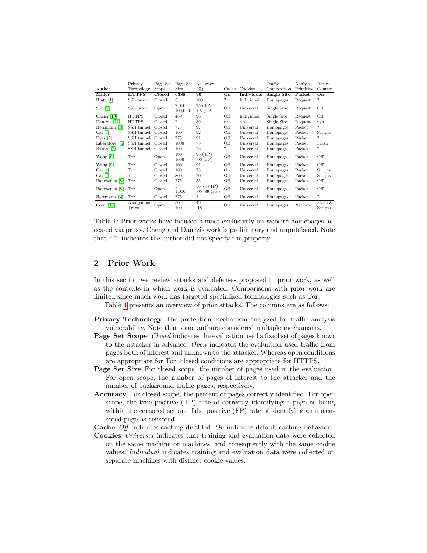<span id="page-2-0"></span>

|                                 | Privacy            | Page Set | Page Set         | Accuracy                       |       |            | Traffic     | Analysis       | Active                   |
|---------------------------------|--------------------|----------|------------------|--------------------------------|-------|------------|-------------|----------------|--------------------------|
| Author                          | Technology         | Scope    | Size             | $(\%)$                         | Cache | Cookies    | Composition | Primitive      | Content                  |
| Miller                          | <b>HTTPS</b>       | Closed   | 6388             | 90                             | On    | Individual | Single Site | Packet         | On                       |
| Hintz $[1]$                     | SSL proxy          | Closed   | 5                | 100                            | ?     | Individual | Homepages   | Request        | $\overline{?}$           |
| $\text{Sun}$ [2]                | SSL proxy          | Open     | 2,000<br>100,000 | 75 (TP)<br>$1.5$ (FP)          | Off   | Universal  | Single Site | Request        | Off                      |
| Cheng $[10]$                    | <b>HTTPS</b>       | Closed   | 489              | 96                             | Off   | Individual | Single Site | Request        | Off                      |
| Danezis [11]                    | <b>HTTPS</b>       | Closed   | ?                | 89                             | n/a   | n/a        | Single Site | Request        | n/a                      |
| Herrmann [3]                    | SSH tunnel         | Closed   | 775              | 97                             | Off   | Universal  | Homepages   | Packet         | $\overline{?}$           |
| Cai [4]                         | SSH tunnel         | Closed   | 100              | 92                             | Off   | Universal  | Homepages   | Packet         | Scripts                  |
| $Dyer$ [5]                      | SSH tunnel         | Closed   | 775              | 91                             | Off   | Universal  | Homepages   | Packet         | ?                        |
| Liberatore<br>$\lceil 6 \rceil$ | SSH tunnel         | Closed   | 1000             | 75                             | Off   | Universal  | Homepages   | Packet         | Flash                    |
| Bissias [7]                     | SSH tunnel         | Closed   | 100              | 23                             | ?     | Universal  | Homepages   | Packet         | ?                        |
| Wang $[9]$                      | Tor                | Open     | 100<br>1000      | 95 (TP)<br>$.06$ (FP)          | Off   | Universal  | Homepages   | Packet         | Off                      |
| Wang $[9]$                      | Tor                | Closed   | 100              | 91                             | Off   | Universal  | Homepages   | Packet         | Off                      |
| $\operatorname{Cai}$ [4]        | Tor                | Closed   | 100              | 78                             | On    | Universal  | Homepages   | Packet         | Scripts                  |
| $\operatorname{Cai}$ [4]        | Tor                | Closed   | 800              | 70                             | Off   | Universal  | Homepages   | Packet         | Scripts                  |
| Panchenko [8]                   | Tor                | Closed   | 775              | 55                             | Off   | Universal  | Homepages   | Packet         | Off                      |
| Panchenko [8]                   | Tor                | Open     | 5<br>1,000       | 56-73 (TP)<br>$.05 - .89$ (FP) | Off   | Universal  | Homepages   | Packet         | Off                      |
| Herrmann $[3]$                  | Tor                | Closed   | 775              | 3                              | Off   | Universal  | Homepages   | Packet         | $\overline{\phantom{a}}$ |
| Coull $[13]$                    | Anonymous<br>Trace | Open     | 50<br>100        | 49<br>.18                      | On    | Universal  | Homepages   | <b>NetFlow</b> | Flash $\&$<br>Scripts    |

Table 1: Prior works have focused almost exclusively on website homepages accessed via proxy. Cheng and Danezis work is preliminary and unpublished. Note that "?" indicates the author did not specify the property.

# <span id="page-2-1"></span>2 Prior Work

In this section we review attacks and defenses proposed in prior work, as well as the contexts in which work is evaluated. Comparisons with prior work are limited since much work has targeted specialized technologies such as Tor.

Table [1](#page-2-0) presents an overview of prior attacks. The columns are as follows:

- Privacy Technology The protection mechanism analyzed for traffic analysis vulnerability. Note that some authors considered multiple mechanisms.
- Page Set Scope Closed indicates the evaluation used a fixed set of pages known to the attacker in advance. Open indicates the evaluation used traffic from pages both of interest and unknown to the attacker. Whereas open conditions are appropriate for Tor, closed conditions are appropriate for HTTPS.
- Page Set Size For closed scope, the number of pages used in the evaluation. For open scope, the number of pages of interest to the attacker and the number of background traffic pages, respectively.
- Accuracy For closed scope, the percent of pages correctly identified. For open scope, the true positive (TP) rate of correctly identifying a page as being within the censored set and false positive  $(FP)$  rate of identifying an uncensored page as censored.
- **Cache** *Off* indicates caching disabled. On indicates default caching behavior.
- Cookies Universal indicates that training and evaluation data were collected on the same machine or machines, and consequently with the same cookie values. Individual indicates training and evaluation data were collected on separate machines with distinct cookie values.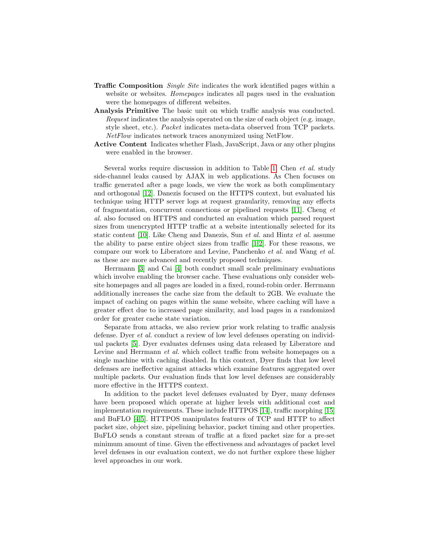- **Traffic Composition** Single Site indicates the work identified pages within a website or websites. *Homepages* indicates all pages used in the evaluation were the homepages of different websites.
- Analysis Primitive The basic unit on which traffic analysis was conducted. Request indicates the analysis operated on the size of each object (e.g. image, style sheet, etc.). Packet indicates meta-data observed from TCP packets. NetFlow indicates network traces anonymized using NetFlow.
- Active Content Indicates whether Flash, JavaScript, Java or any other plugins were enabled in the browser.

Several works require discussion in addition to Table [1.](#page-2-0) Chen et al. study side-channel leaks caused by AJAX in web applications. As Chen focuses on traffic generated after a page loads, we view the work as both complimentary and orthogonal [\[12\]](#page-19-11). Danezis focused on the HTTPS context, but evaluated his technique using HTTP server logs at request granularity, removing any effects of fragmentation, concurrent connections or pipelined requests [\[11\]](#page-19-10). Cheng  $et$ al. also focused on HTTPS and conducted an evaluation which parsed request sizes from unencrypted HTTP traffic at a website intentionally selected for its static content [\[10\]](#page-19-9). Like Cheng and Danezis, Sun et al. and Hintz et al. assume the ability to parse entire object sizes from traffic  $[1,2]$  $[1,2]$ . For these reasons, we compare our work to Liberatore and Levine, Panchenko et al. and Wang et al. as these are more advanced and recently proposed techniques.

Herrmann [\[3\]](#page-19-2) and Cai [\[4\]](#page-19-3) both conduct small scale preliminary evaluations which involve enabling the browser cache. These evaluations only consider website homepages and all pages are loaded in a fixed, round-robin order. Herrmann additionally increases the cache size from the default to 2GB. We evaluate the impact of caching on pages within the same website, where caching will have a greater effect due to increased page similarity, and load pages in a randomized order for greater cache state variation.

Separate from attacks, we also review prior work relating to traffic analysis defense. Dyer et al. conduct a review of low level defenses operating on individual packets [\[5\]](#page-19-4). Dyer evaluates defenses using data released by Liberatore and Levine and Herrmann et al. which collect traffic from website homepages on a single machine with caching disabled. In this context, Dyer finds that low level defenses are ineffective against attacks which examine features aggregated over multiple packets. Our evaluation finds that low level defenses are considerably more effective in the HTTPS context.

In addition to the packet level defenses evaluated by Dyer, many defenses have been proposed which operate at higher levels with additional cost and implementation requirements. These include HTTPOS [\[14\]](#page-19-13), traffic morphing [\[15\]](#page-19-14) and BuFLO [\[4,](#page-19-3)[5\]](#page-19-4). HTTPOS manipulates features of TCP and HTTP to affect packet size, object size, pipelining behavior, packet timing and other properties. BuFLO sends a constant stream of traffic at a fixed packet size for a pre-set minimum amount of time. Given the effectiveness and advantages of packet level level defenses in our evaluation context, we do not further explore these higher level approaches in our work.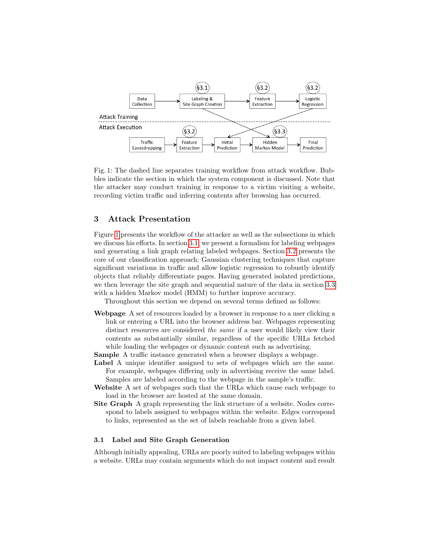<span id="page-4-0"></span>

Fig. 1: The dashed line separates training workflow from attack workflow. Bubbles indicate the section in which the system component is discussed. Note that the attacker may conduct training in response to a victim visiting a website, recording victim traffic and inferring contents after browsing has occurred.

### <span id="page-4-2"></span>3 Attack Presentation

Figure [1](#page-4-0) presents the workflow of the attacker as well as the subsections in which we discuss his efforts. In section [3.1,](#page-4-1) we present a formalism for labeling webpages and generating a link graph relating labeled webpages. Section [3.2](#page-7-0) presents the core of our classification approach: Gaussian clustering techniques that capture significant variations in traffic and allow logistic regression to robustly identify objects that reliably differentiate pages. Having generated isolated predictions, we then leverage the site graph and sequential nature of the data in section [3.3](#page-9-0) with a hidden Markov model (HMM) to further improve accuracy.

Throughout this section we depend on several terms defined as follows:

- Webpage A set of resources loaded by a browser in response to a user clicking a link or entering a URL into the browser address bar. Webpages representing distinct resources are considered the same if a user would likely view their contents as substantially similar, regardless of the specific URLs fetched while loading the webpages or dynamic content such as advertising.
- Sample A traffic instance generated when a browser displays a webpage.
- Label A unique identifier assigned to sets of webpages which are the same. For example, webpages differing only in advertising receive the same label. Samples are labeled according to the webpage in the sample's traffic.
- Website A set of webpages such that the URLs which cause each webpage to load in the browser are hosted at the same domain.
- Site Graph A graph representing the link structure of a website. Nodes correspond to labels assigned to webpages within the website. Edges correspond to links, represented as the set of labels reachable from a given label.

#### <span id="page-4-1"></span>3.1 Label and Site Graph Generation

Although initially appealing, URLs are poorly suited to labeling webpages within a website. URLs may contain arguments which do not impact content and result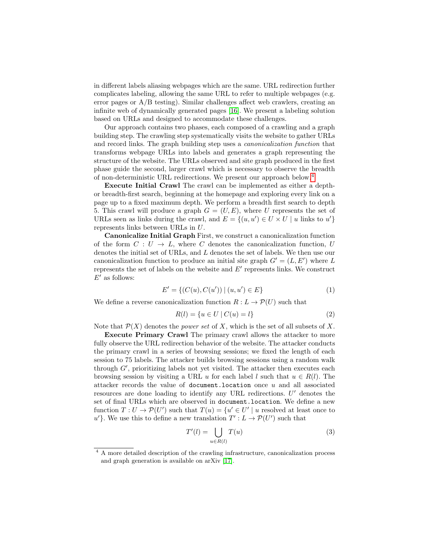in different labels aliasing webpages which are the same. URL redirection further complicates labeling, allowing the same URL to refer to multiple webpages (e.g. error pages or A/B testing). Similar challenges affect web crawlers, creating an infinite web of dynamically generated pages [\[16\]](#page-19-15). We present a labeling solution based on URLs and designed to accommodate these challenges.

Our approach contains two phases, each composed of a crawling and a graph building step. The crawling step systematically visits the website to gather URLs and record links. The graph building step uses a canonicalization function that transforms webpage URLs into labels and generates a graph representing the structure of the website. The URLs observed and site graph produced in the first phase guide the second, larger crawl which is necessary to observe the breadth of non-deterministic URL redirections. We present our approach below.[4](#page-5-0)

Execute Initial Crawl The crawl can be implemented as either a depthor breadth-first search, beginning at the homepage and exploring every link on a page up to a fixed maximum depth. We perform a breadth first search to depth 5. This crawl will produce a graph  $G = (U, E)$ , where U represents the set of URLs seen as links during the crawl, and  $E = \{(u, u') \in U \times U \mid u \text{ links to } u'\}$ represents links between URLs in U.

Canonicalize Initial Graph First, we construct a canonicalization function of the form  $C: U \to L$ , where C denotes the canonicalization function, U denotes the initial set of URLs, and L denotes the set of labels. We then use our canonicalization function to produce an initial site graph  $G' = (L, E')$  where L represents the set of labels on the website and  $E'$  represents links. We construct  $E'$  as follows:

$$
E' = \{ (C(u), C(u')) \mid (u, u') \in E \}
$$
 (1)

We define a reverse canonicalization function  $R: L \to \mathcal{P}(U)$  such that

$$
R(l) = \{ u \in U \mid C(u) = l \}
$$
\n(2)

Note that  $\mathcal{P}(X)$  denotes the *power set* of X, which is the set of all subsets of X.

Execute Primary Crawl The primary crawl allows the attacker to more fully observe the URL redirection behavior of the website. The attacker conducts the primary crawl in a series of browsing sessions; we fixed the length of each session to 75 labels. The attacker builds browsing sessions using a random walk through  $G'$ , prioritizing labels not yet visited. The attacker then executes each browsing session by visiting a URL u for each label l such that  $u \in R(l)$ . The attacker records the value of document.location once u and all associated resources are done loading to identify any URL redirections.  $U'$  denotes the set of final URLs which are observed in document.location. We define a new function  $T: U \to \mathcal{P}(U')$  such that  $T(u) = \{u' \in U' \mid u \text{ resolved at least once to } \}$ u'}. We use this to define a new translation  $T' : L \to \mathcal{P}(U')$  such that

$$
T'(l) = \bigcup_{u \in R(l)} T(u) \tag{3}
$$

<span id="page-5-0"></span><sup>4</sup> A more detailed description of the crawling infrastructure, canonicalization process and graph generation is available on arXiv [\[17\]](#page-19-16).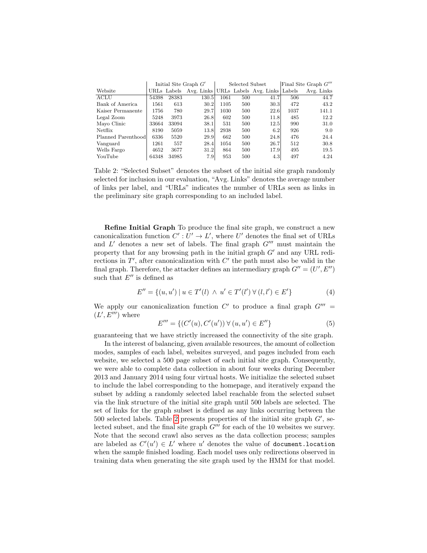<span id="page-6-0"></span>

|                    | Initial Site Graph $G'$ |             |                                          |      | Selected Subset |      | Final Site Graph $G'''$ |            |  |
|--------------------|-------------------------|-------------|------------------------------------------|------|-----------------|------|-------------------------|------------|--|
| Website            |                         | URLs Labels | Avg. Links URLs Labels Avg. Links Labels |      |                 |      |                         | Avg. Links |  |
| ACLU               | 54398                   | 28383       | 130.5                                    | 1061 | 500             | 41.7 | 506                     | 44.7       |  |
| Bank of America    | 1561                    | 613         | 30.2                                     | 1105 | 500             | 30.3 | 472                     | 43.2       |  |
| Kaiser Permanente  | 1756                    | 780         | 29.7                                     | 1030 | 500             | 22.6 | 1037                    | 141.1      |  |
| Legal Zoom         | 5248                    | 3973        | 26.8                                     | 602  | 500             | 11.8 | 485                     | 12.2       |  |
| Mayo Clinic        | 33664                   | 33094       | 38.1                                     | 531  | 500             | 12.5 | 990                     | 31.0       |  |
| Netflix            | 8190                    | 5059        | 13.8                                     | 2938 | 500             | 6.2  | 926                     | 9.0        |  |
| Planned Parenthood | 6336                    | 5520        | 29.9                                     | 662  | 500             | 24.8 | 476                     | 24.4       |  |
| Vanguard           | 1261                    | 557         | 28.4                                     | 1054 | 500             | 26.7 | 512                     | 30.8       |  |
| Wells Fargo        | 4652                    | 3677        | 31.2                                     | 864  | 500             | 17.9 | 495                     | 19.5       |  |
| YouTube            | 64348                   | 34985       | 7.9                                      | 953  | 500             | 4.3  | 497                     | 4.24       |  |

Table 2: "Selected Subset" denotes the subset of the initial site graph randomly selected for inclusion in our evaluation, "Avg. Links" denotes the average number of links per label, and "URLs" indicates the number of URLs seen as links in the preliminary site graph corresponding to an included label.

Refine Initial Graph To produce the final site graph, we construct a new canonicalization function  $C': U' \to L'$ , where U' denotes the final set of URLs and  $L'$  denotes a new set of labels. The final graph  $G^{\prime\prime\prime}$  must maintain the property that for any browsing path in the initial graph  $G'$  and any URL redirections in  $T'$ , after canonicalization with  $C'$  the path must also be valid in the final graph. Therefore, the attacker defines an intermediary graph  $G'' = (U', E'')$ such that  $E''$  is defined as

$$
E'' = \{(u, u') \mid u \in T'(l) \land u' \in T'(l') \forall (l, l') \in E'\}
$$
(4)

We apply our canonicalization function  $C'$  to produce a final graph  $G''' =$  $(L', E''')$  where

$$
E''' = \{ (C'(u), C'(u')) \,\forall \,(u, u') \in E'' \}
$$
\n(5)

guaranteeing that we have strictly increased the connectivity of the site graph.

In the interest of balancing, given available resources, the amount of collection modes, samples of each label, websites surveyed, and pages included from each website, we selected a 500 page subset of each initial site graph. Consequently, we were able to complete data collection in about four weeks during December 2013 and January 2014 using four virtual hosts. We initialize the selected subset to include the label corresponding to the homepage, and iteratively expand the subset by adding a randomly selected label reachable from the selected subset via the link structure of the initial site graph until 500 labels are selected. The set of links for the graph subset is defined as any links occurring between the  $500$  selected labels. Table [2](#page-6-0) presents properties of the initial site graph  $G'$ , selected subset, and the final site graph  $G^{\prime\prime\prime}$  for each of the 10 websites we survey. Note that the second crawl also serves as the data collection process; samples are labeled as  $C'(u') \in L'$  where u' denotes the value of document.location when the sample finished loading. Each model uses only redirections observed in training data when generating the site graph used by the HMM for that model.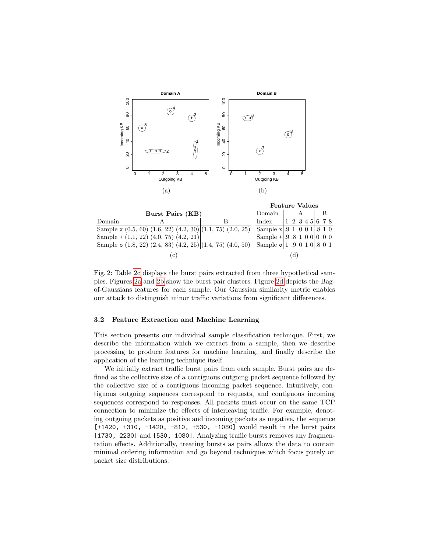<span id="page-7-5"></span><span id="page-7-2"></span>

<span id="page-7-3"></span><span id="page-7-1"></span>

<span id="page-7-4"></span>Fig. 2: Table [2c](#page-7-1) displays the burst pairs extracted from three hypothetical samples. Figures [2a](#page-7-2) and [2b](#page-7-3) show the burst pair clusters. Figure [2d](#page-7-4) depicts the Bagof-Gaussians features for each sample. Our Gaussian similarity metric enables our attack to distinguish minor traffic variations from significant differences.

#### <span id="page-7-0"></span>3.2 Feature Extraction and Machine Learning

This section presents our individual sample classification technique. First, we describe the information which we extract from a sample, then we describe processing to produce features for machine learning, and finally describe the application of the learning technique itself.

We initially extract traffic burst pairs from each sample. Burst pairs are defined as the collective size of a contiguous outgoing packet sequence followed by the collective size of a contiguous incoming packet sequence. Intuitively, contiguous outgoing sequences correspond to requests, and contiguous incoming sequences correspond to responses. All packets must occur on the same TCP connection to minimize the effects of interleaving traffic. For example, denoting outgoing packets as positive and incoming packets as negative, the sequence [+1420, +310, -1420, -810, +530, -1080] would result in the burst pairs [1730, 2230] and [530, 1080]. Analyzing traffic bursts removes any fragmentation effects. Additionally, treating bursts as pairs allows the data to contain minimal ordering information and go beyond techniques which focus purely on packet size distributions.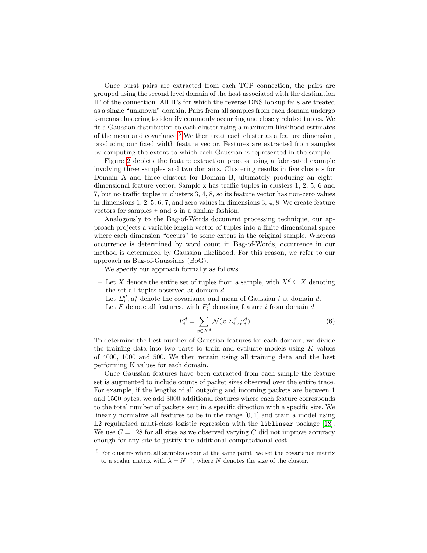Once burst pairs are extracted from each TCP connection, the pairs are grouped using the second level domain of the host associated with the destination IP of the connection. All IPs for which the reverse DNS lookup fails are treated as a single "unknown" domain. Pairs from all samples from each domain undergo k-means clustering to identify commonly occurring and closely related tuples. We fit a Gaussian distribution to each cluster using a maximum likelihood estimates of the mean and covariance.<sup>[5](#page-8-0)</sup> We then treat each cluster as a feature dimension, producing our fixed width feature vector. Features are extracted from samples by computing the extent to which each Gaussian is represented in the sample.

Figure [2](#page-7-5) depicts the feature extraction process using a fabricated example involving three samples and two domains. Clustering results in five clusters for Domain A and three clusters for Domain B, ultimately producing an eightdimensional feature vector. Sample x has traffic tuples in clusters 1, 2, 5, 6 and 7, but no traffic tuples in clusters 3, 4, 8, so its feature vector has non-zero values in dimensions 1, 2, 5, 6, 7, and zero values in dimensions 3, 4, 8. We create feature vectors for samples + and o in a similar fashion.

Analogously to the Bag-of-Words document processing technique, our approach projects a variable length vector of tuples into a finite dimensional space where each dimension "occurs" to some extent in the original sample. Whereas occurrence is determined by word count in Bag-of-Words, occurrence in our method is determined by Gaussian likelihood. For this reason, we refer to our approach as Bag-of-Gaussians (BoG).

We specify our approach formally as follows:

- Let X denote the entire set of tuples from a sample, with  $X^d \subseteq X$  denoting the set all tuples observed at domain d.
- Let  $\Sigma_i^d, \mu_i^d$  denote the covariance and mean of Gaussian i at domain d.
- Let  $F$  denote all features, with  $F_i^d$  denoting feature i from domain d.

$$
F_i^d = \sum_{x \in X^d} \mathcal{N}(x | \Sigma_i^d, \mu_i^d) \tag{6}
$$

To determine the best number of Gaussian features for each domain, we divide the training data into two parts to train and evaluate models using  $K$  values of 4000, 1000 and 500. We then retrain using all training data and the best performing K values for each domain.

Once Gaussian features have been extracted from each sample the feature set is augmented to include counts of packet sizes observed over the entire trace. For example, if the lengths of all outgoing and incoming packets are between 1 and 1500 bytes, we add 3000 additional features where each feature corresponds to the total number of packets sent in a specific direction with a specific size. We linearly normalize all features to be in the range [0, 1] and train a model using L2 regularized multi-class logistic regression with the liblinear package [\[18\]](#page-19-17). We use  $C = 128$  for all sites as we observed varying C did not improve accuracy enough for any site to justify the additional computational cost.

<span id="page-8-0"></span><sup>&</sup>lt;sup>5</sup> For clusters where all samples occur at the same point, we set the covariance matrix to a scalar matrix with  $\lambda = N^{-1}$ , where N denotes the size of the cluster.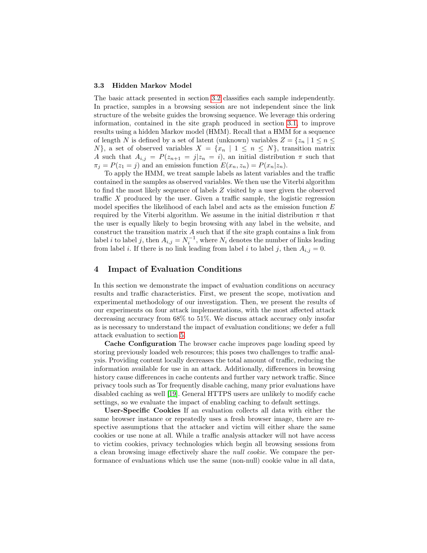#### <span id="page-9-0"></span>3.3 Hidden Markov Model

The basic attack presented in section [3.2](#page-7-0) classifies each sample independently. In practice, samples in a browsing session are not independent since the link structure of the website guides the browsing sequence. We leverage this ordering information, contained in the site graph produced in section [3.1,](#page-4-1) to improve results using a hidden Markov model (HMM). Recall that a HMM for a sequence of length N is defined by a set of latent (unknown) variables  $Z = \{z_n | 1 \leq n \leq \}$ N}, a set of observed variables  $X = \{x_n | 1 \leq n \leq N\}$ , transition matrix A such that  $A_{i,j} = P(z_{n+1} = j | z_n = i)$ , an initial distribution  $\pi$  such that  $\pi_j = P(z_1 = j)$  and an emission function  $E(x_n, z_n) = P(x_n|z_n)$ .

To apply the HMM, we treat sample labels as latent variables and the traffic contained in the samples as observed variables. We then use the Viterbi algorithm to find the most likely sequence of labels Z visited by a user given the observed traffic X produced by the user. Given a traffic sample, the logistic regression model specifies the likelihood of each label and acts as the emission function  $E$ required by the Viterbi algorithm. We assume in the initial distribution  $\pi$  that the user is equally likely to begin browsing with any label in the website, and construct the transition matrix A such that if the site graph contains a link from label *i* to label *j*, then  $A_{i,j} = N_i^{-1}$ , where  $N_i$  denotes the number of links leading from label *i*. If there is no link leading from label *i* to label *j*, then  $A_{i,j} = 0$ .

### <span id="page-9-1"></span>4 Impact of Evaluation Conditions

In this section we demonstrate the impact of evaluation conditions on accuracy results and traffic characteristics. First, we present the scope, motivation and experimental methodology of our investigation. Then, we present the results of our experiments on four attack implementations, with the most affected attack decreasing accuracy from 68% to 51%. We discuss attack accuracy only insofar as is necessary to understand the impact of evaluation conditions; we defer a full attack evaluation to section [5.](#page-13-0)

Cache Configuration The browser cache improves page loading speed by storing previously loaded web resources; this poses two challenges to traffic analysis. Providing content locally decreases the total amount of traffic, reducing the information available for use in an attack. Additionally, differences in browsing history cause differences in cache contents and further vary network traffic. Since privacy tools such as Tor frequently disable caching, many prior evaluations have disabled caching as well [\[19\]](#page-19-18). General HTTPS users are unlikely to modify cache settings, so we evaluate the impact of enabling caching to default settings.

User-Specific Cookies If an evaluation collects all data with either the same browser instance or repeatedly uses a fresh browser image, there are respective assumptions that the attacker and victim will either share the same cookies or use none at all. While a traffic analysis attacker will not have access to victim cookies, privacy technologies which begin all browsing sessions from a clean browsing image effectively share the null cookie. We compare the performance of evaluations which use the same (non-null) cookie value in all data,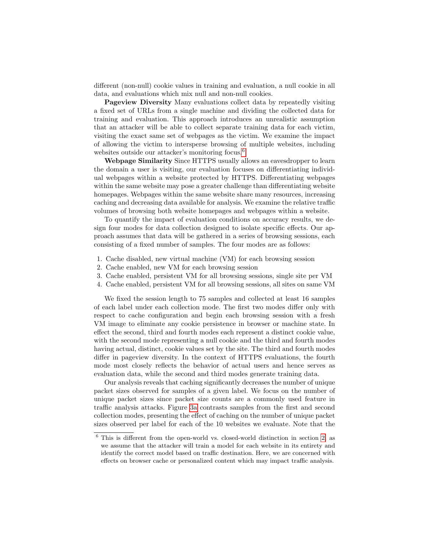different (non-null) cookie values in training and evaluation, a null cookie in all data, and evaluations which mix null and non-null cookies.

Pageview Diversity Many evaluations collect data by repeatedly visiting a fixed set of URLs from a single machine and dividing the collected data for training and evaluation. This approach introduces an unrealistic assumption that an attacker will be able to collect separate training data for each victim, visiting the exact same set of webpages as the victim. We examine the impact of allowing the victim to intersperse browsing of multiple websites, including websites outside our attacker's monitoring focus.<sup>[6](#page-10-0)</sup>

Webpage Similarity Since HTTPS usually allows an eavesdropper to learn the domain a user is visiting, our evaluation focuses on differentiating individual webpages within a website protected by HTTPS. Differentiating webpages within the same website may pose a greater challenge than differentiating website homepages. Webpages within the same website share many resources, increasing caching and decreasing data available for analysis. We examine the relative traffic volumes of browsing both website homepages and webpages within a website.

To quantify the impact of evaluation conditions on accuracy results, we design four modes for data collection designed to isolate specific effects. Our approach assumes that data will be gathered in a series of browsing sessions, each consisting of a fixed number of samples. The four modes are as follows:

- 1. Cache disabled, new virtual machine (VM) for each browsing session
- 2. Cache enabled, new VM for each browsing session
- 3. Cache enabled, persistent VM for all browsing sessions, single site per VM
- 4. Cache enabled, persistent VM for all browsing sessions, all sites on same VM

We fixed the session length to 75 samples and collected at least 16 samples of each label under each collection mode. The first two modes differ only with respect to cache configuration and begin each browsing session with a fresh VM image to eliminate any cookie persistence in browser or machine state. In effect the second, third and fourth modes each represent a distinct cookie value, with the second mode representing a null cookie and the third and fourth modes having actual, distinct, cookie values set by the site. The third and fourth modes differ in pageview diversity. In the context of HTTPS evaluations, the fourth mode most closely reflects the behavior of actual users and hence serves as evaluation data, while the second and third modes generate training data.

Our analysis reveals that caching significantly decreases the number of unique packet sizes observed for samples of a given label. We focus on the number of unique packet sizes since packet size counts are a commonly used feature in traffic analysis attacks. Figure [3a](#page-11-0) contrasts samples from the first and second collection modes, presenting the effect of caching on the number of unique packet sizes observed per label for each of the 10 websites we evaluate. Note that the

<span id="page-10-0"></span> $6$  This is different from the open-world vs. closed-world distinction in section [2,](#page-2-1) as we assume that the attacker will train a model for each website in its entirety and identify the correct model based on traffic destination. Here, we are concerned with effects on browser cache or personalized content which may impact traffic analysis.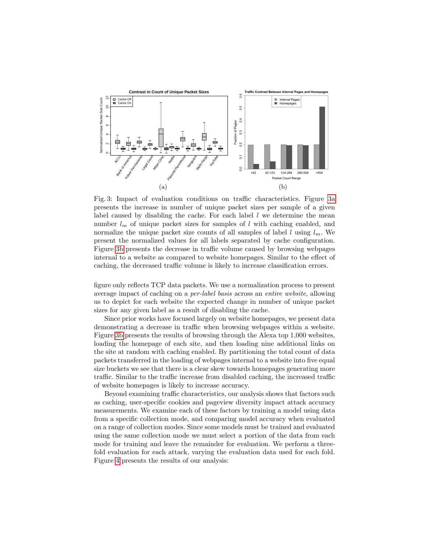<span id="page-11-0"></span>

<span id="page-11-1"></span>Fig. 3: Impact of evaluation conditions on traffic characteristics. Figure [3a](#page-11-0) presents the increase in number of unique packet sizes per sample of a given label caused by disabling the cache. For each label  $l$  we determine the mean number  $l_m$  of unique packet sizes for samples of l with caching enabled, and normalize the unique packet size counts of all samples of label l using  $l_m$ . We present the normalized values for all labels separated by cache configuration. Figure [3b](#page-11-1) presents the decrease in traffic volume caused by browsing webpages internal to a website as compared to website homepages. Similar to the effect of caching, the decreased traffic volume is likely to increase classification errors.

figure only reflects TCP data packets. We use a normalization process to present average impact of caching on a per-label basis across an entire website, allowing us to depict for each website the expected change in number of unique packet sizes for any given label as a result of disabling the cache.

Since prior works have focused largely on website homepages, we present data demonstrating a decrease in traffic when browsing webpages within a website. Figure [3b](#page-11-1) presents the results of browsing through the Alexa top 1,000 websites, loading the homepage of each site, and then loading nine additional links on the site at random with caching enabled. By partitioning the total count of data packets transferred in the loading of webpages internal to a website into five equal size buckets we see that there is a clear skew towards homepages generating more traffic. Similar to the traffic increase from disabled caching, the increased traffic of website homepages is likely to increase accuracy.

Beyond examining traffic characteristics, our analysis shows that factors such as caching, user-specific cookies and pageview diversity impact attack accuracy measurements. We examine each of these factors by training a model using data from a specific collection mode, and comparing model accuracy when evaluated on a range of collection modes. Since some models must be trained and evaluated using the same collection mode we must select a portion of the data from each mode for training and leave the remainder for evaluation. We perform a threefold evaluation for each attack, varying the evaluation data used for each fold. Figure [4](#page-12-0) presents the results of our analysis: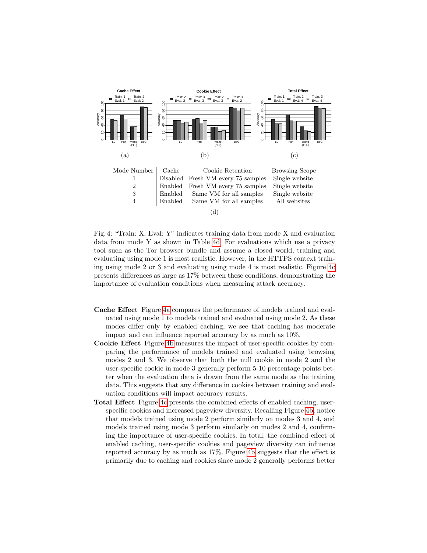<span id="page-12-4"></span><span id="page-12-3"></span><span id="page-12-2"></span><span id="page-12-0"></span>

<span id="page-12-1"></span>Fig. 4: "Train: X, Eval: Y" indicates training data from mode X and evaluation data from mode Y as shown in Table [4d.](#page-12-1) For evaluations which use a privacy tool such as the Tor browser bundle and assume a closed world, training and evaluating using mode 1 is most realistic. However, in the HTTPS context training using mode 2 or 3 and evaluating using mode 4 is most realistic. Figure [4c](#page-12-2) presents differences as large as 17% between these conditions, demonstrating the importance of evaluation conditions when measuring attack accuracy.

- Cache Effect Figure [4a](#page-12-3) compares the performance of models trained and evaluated using mode 1 to models trained and evaluated using mode 2. As these modes differ only by enabled caching, we see that caching has moderate impact and can influence reported accuracy by as much as 10%.
- Cookie Effect Figure [4b](#page-12-4) measures the impact of user-specific cookies by comparing the performance of models trained and evaluated using browsing modes 2 and 3. We observe that both the null cookie in mode 2 and the user-specific cookie in mode 3 generally perform 5-10 percentage points better when the evaluation data is drawn from the same mode as the training data. This suggests that any difference in cookies between training and evaluation conditions will impact accuracy results.
- Total Effect Figure [4c](#page-12-2) presents the combined effects of enabled caching, userspecific cookies and increased pageview diversity. Recalling Figure [4b,](#page-12-4) notice that models trained using mode 2 perform similarly on modes 3 and 4, and models trained using mode 3 perform similarly on modes 2 and 4, confirming the importance of user-specific cookies. In total, the combined effect of enabled caching, user-specific cookies and pageview diversity can influence reported accuracy by as much as 17%. Figure [4b](#page-12-4) suggests that the effect is primarily due to caching and cookies since mode 2 generally performs better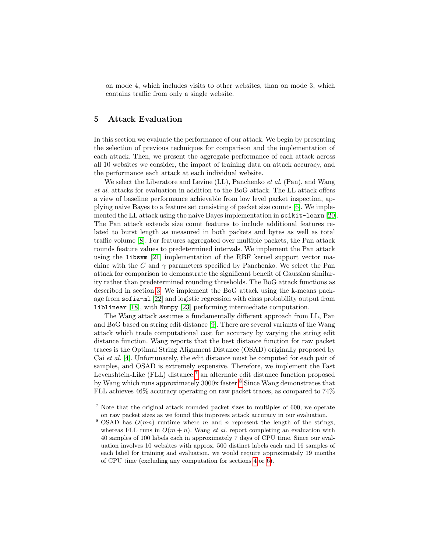on mode 4, which includes visits to other websites, than on mode 3, which contains traffic from only a single website.

## <span id="page-13-0"></span>5 Attack Evaluation

In this section we evaluate the performance of our attack. We begin by presenting the selection of previous techniques for comparison and the implementation of each attack. Then, we present the aggregate performance of each attack across all 10 websites we consider, the impact of training data on attack accuracy, and the performance each attack at each individual website.

We select the Liberatore and Levine (LL), Panchenko *et al.* (Pan), and Wang et al. attacks for evaluation in addition to the BoG attack. The LL attack offers a view of baseline performance achievable from low level packet inspection, applying naive Bayes to a feature set consisting of packet size counts [\[6\]](#page-19-5). We implemented the LL attack using the naive Bayes implementation in scikit-learn [\[20\]](#page-19-19). The Pan attack extends size count features to include additional features related to burst length as measured in both packets and bytes as well as total traffic volume [\[8\]](#page-19-7). For features aggregated over multiple packets, the Pan attack rounds feature values to predetermined intervals. We implement the Pan attack using the libsvm [\[21\]](#page-19-20) implementation of the RBF kernel support vector machine with the C and  $\gamma$  parameters specified by Panchenko. We select the Pan attack for comparison to demonstrate the significant benefit of Gaussian similarity rather than predetermined rounding thresholds. The BoG attack functions as described in section [3.](#page-4-2) We implement the BoG attack using the k-means package from sofia-ml [\[22\]](#page-19-21) and logistic regression with class probability output from liblinear [\[18\]](#page-19-17), with Numpy [\[23\]](#page-19-22) performing intermediate computation.

The Wang attack assumes a fundamentally different approach from LL, Pan and BoG based on string edit distance [\[9\]](#page-19-8). There are several variants of the Wang attack which trade computational cost for accuracy by varying the string edit distance function. Wang reports that the best distance function for raw packet traces is the Optimal String Alignment Distance (OSAD) originally proposed by Cai et al. [\[4\]](#page-19-3). Unfortunately, the edit distance must be computed for each pair of samples, and OSAD is extremely expensive. Therefore, we implement the Fast Levenshtein-Like  $(FLL)$  distance,<sup>[7](#page-13-1)</sup> an alternate edit distance function proposed by Wang which runs approximately 3000x faster.<sup>[8](#page-13-2)</sup> Since Wang demonstrates that FLL achieves 46% accuracy operating on raw packet traces, as compared to 74%

<span id="page-13-1"></span><sup>7</sup> Note that the original attack rounded packet sizes to multiples of 600; we operate on raw packet sizes as we found this improves attack accuracy in our evaluation.

<span id="page-13-2"></span> $8$  OSAD has  $O(mn)$  runtime where m and n represent the length of the strings, whereas FLL runs in  $O(m + n)$ . Wang *et al.* report completing an evaluation with 40 samples of 100 labels each in approximately 7 days of CPU time. Since our evaluation involves 10 websites with approx. 500 distinct labels each and 16 samples of each label for training and evaluation, we would require approximately 19 months of CPU time (excluding any computation for sections [4](#page-9-1) or [6\)](#page-16-0).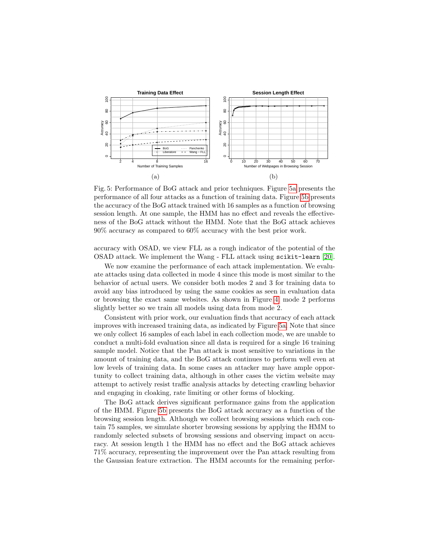<span id="page-14-0"></span>

<span id="page-14-1"></span>Fig. 5: Performance of BoG attack and prior techniques. Figure [5a](#page-14-0) presents the performance of all four attacks as a function of training data. Figure [5b](#page-14-1) presents the accuracy of the BoG attack trained with 16 samples as a function of browsing session length. At one sample, the HMM has no effect and reveals the effectiveness of the BoG attack without the HMM. Note that the BoG attack achieves 90% accuracy as compared to 60% accuracy with the best prior work.

accuracy with OSAD, we view FLL as a rough indicator of the potential of the OSAD attack. We implement the Wang - FLL attack using scikit-learn [\[20\]](#page-19-19).

We now examine the performance of each attack implementation. We evaluate attacks using data collected in mode 4 since this mode is most similar to the behavior of actual users. We consider both modes 2 and 3 for training data to avoid any bias introduced by using the same cookies as seen in evaluation data or browsing the exact same websites. As shown in Figure [4,](#page-12-0) mode 2 performs slightly better so we train all models using data from mode 2.

Consistent with prior work, our evaluation finds that accuracy of each attack improves with increased training data, as indicated by Figure [5a.](#page-14-0) Note that since we only collect 16 samples of each label in each collection mode, we are unable to conduct a multi-fold evaluation since all data is required for a single 16 training sample model. Notice that the Pan attack is most sensitive to variations in the amount of training data, and the BoG attack continues to perform well even at low levels of training data. In some cases an attacker may have ample opportunity to collect training data, although in other cases the victim website may attempt to actively resist traffic analysis attacks by detecting crawling behavior and engaging in cloaking, rate limiting or other forms of blocking.

The BoG attack derives significant performance gains from the application of the HMM. Figure [5b](#page-14-1) presents the BoG attack accuracy as a function of the browsing session length. Although we collect browsing sessions which each contain 75 samples, we simulate shorter browsing sessions by applying the HMM to randomly selected subsets of browsing sessions and observing impact on accuracy. At session length 1 the HMM has no effect and the BoG attack achieves 71% accuracy, representing the improvement over the Pan attack resulting from the Gaussian feature extraction. The HMM accounts for the remaining perfor-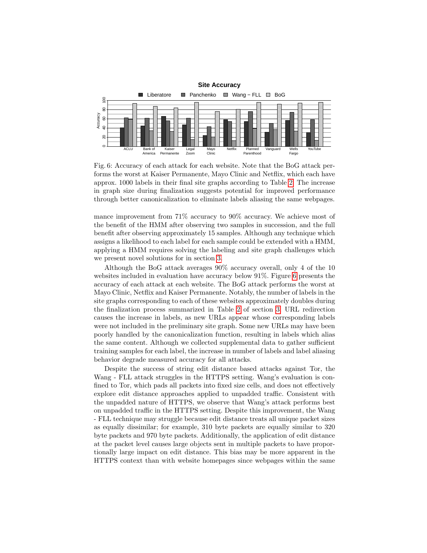<span id="page-15-0"></span>

Fig. 6: Accuracy of each attack for each website. Note that the BoG attack performs the worst at Kaiser Permanente, Mayo Clinic and Netflix, which each have approx. 1000 labels in their final site graphs according to Table [2.](#page-6-0) The increase in graph size during finalization suggests potential for improved performance through better canonicalization to eliminate labels aliasing the same webpages.

mance improvement from 71% accuracy to 90% accuracy. We achieve most of the benefit of the HMM after observing two samples in succession, and the full benefit after observing approximately 15 samples. Although any technique which assigns a likelihood to each label for each sample could be extended with a HMM, applying a HMM requires solving the labeling and site graph challenges which we present novel solutions for in section [3.](#page-4-2)

Although the BoG attack averages 90% accuracy overall, only 4 of the 10 websites included in evaluation have accuracy below 91%. Figure [6](#page-15-0) presents the accuracy of each attack at each website. The BoG attack performs the worst at Mayo Clinic, Netflix and Kaiser Permanente. Notably, the number of labels in the site graphs corresponding to each of these websites approximately doubles during the finalization process summarized in Table [2](#page-6-0) of section [3.](#page-4-2) URL redirection causes the increase in labels, as new URLs appear whose corresponding labels were not included in the preliminary site graph. Some new URLs may have been poorly handled by the canonicalization function, resulting in labels which alias the same content. Although we collected supplemental data to gather sufficient training samples for each label, the increase in number of labels and label aliasing behavior degrade measured accuracy for all attacks.

Despite the success of string edit distance based attacks against Tor, the Wang - FLL attack struggles in the HTTPS setting. Wang's evaluation is confined to Tor, which pads all packets into fixed size cells, and does not effectively explore edit distance approaches applied to unpadded traffic. Consistent with the unpadded nature of HTTPS, we observe that Wang's attack performs best on unpadded traffic in the HTTPS setting. Despite this improvement, the Wang - FLL technique may struggle because edit distance treats all unique packet sizes as equally dissimilar; for example, 310 byte packets are equally similar to 320 byte packets and 970 byte packets. Additionally, the application of edit distance at the packet level causes large objects sent in multiple packets to have proportionally large impact on edit distance. This bias may be more apparent in the HTTPS context than with website homepages since webpages within the same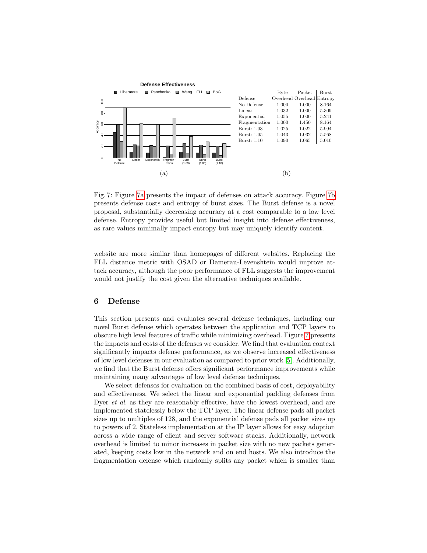<span id="page-16-3"></span><span id="page-16-1"></span>

<span id="page-16-2"></span>Fig. 7: Figure [7a](#page-16-1) presents the impact of defenses on attack accuracy. Figure [7b](#page-16-2) presents defense costs and entropy of burst sizes. The Burst defense is a novel proposal, substantially decreasing accuracy at a cost comparable to a low level defense. Entropy provides useful but limited insight into defense effectiveness, as rare values minimally impact entropy but may uniquely identify content.

website are more similar than homepages of different websites. Replacing the FLL distance metric with OSAD or Damerau-Levenshtein would improve attack accuracy, although the poor performance of FLL suggests the improvement would not justify the cost given the alternative techniques available.

### <span id="page-16-0"></span>6 Defense

This section presents and evaluates several defense techniques, including our novel Burst defense which operates between the application and TCP layers to obscure high level features of traffic while minimizing overhead. Figure [7](#page-16-3) presents the impacts and costs of the defenses we consider. We find that evaluation context significantly impacts defense performance, as we observe increased effectiveness of low level defenses in our evaluation as compared to prior work [\[5\]](#page-19-4). Additionally, we find that the Burst defense offers significant performance improvements while maintaining many advantages of low level defense techniques.

We select defenses for evaluation on the combined basis of cost, deployability and effectiveness. We select the linear and exponential padding defenses from Dyer *et al.* as they are reasonably effective, have the lowest overhead, and are implemented statelessly below the TCP layer. The linear defense pads all packet sizes up to multiples of 128, and the exponential defense pads all packet sizes up to powers of 2. Stateless implementation at the IP layer allows for easy adoption across a wide range of client and server software stacks. Additionally, network overhead is limited to minor increases in packet size with no new packets generated, keeping costs low in the network and on end hosts. We also introduce the fragmentation defense which randomly splits any packet which is smaller than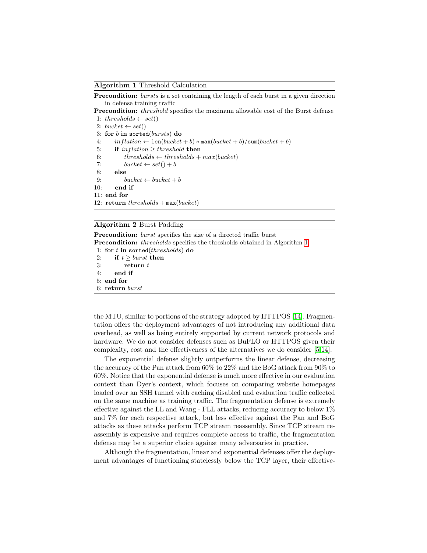#### <span id="page-17-0"></span>Algorithm 1 Threshold Calculation

Precondition: bursts is a set containing the length of each burst in a given direction in defense training traffic

Precondition: threshold specifies the maximum allowable cost of the Burst defense 1: thresholds  $\leftarrow set()$ 

2: bucket  $\leftarrow set()$ 

3: for b in sorted(bursts) do

4:  $\text{inflation} \leftarrow \text{len}(bucket + b) * \max(buckets + b)/\text{sum}(bucket + b)$ 

5: if  $inflation > threshold$  then

6: thresholds  $\leftarrow$  thresholds + max(bucket)

7:  $bucket \leftarrow set() + b$ 

8: else

9:  $bucket \leftarrow bucket + b$ 

10: end if

11: end for

12: return thresholds  $+$  max(bucket)

#### Algorithm 2 Burst Padding

Precondition: burst specifies the size of a directed traffic burst Precondition: thresholds specifies the thresholds obtained in Algorithm [1](#page-17-0) 1: for  $t$  in sorted(thresholds) do 2: if  $t \geq burst$  then  $3:$  return  $t$ 4: end if

5: end for

```
6: return burst
```
the MTU, similar to portions of the strategy adopted by HTTPOS [\[14\]](#page-19-13). Fragmentation offers the deployment advantages of not introducing any additional data overhead, as well as being entirely supported by current network protocols and hardware. We do not consider defenses such as BuFLO or HTTPOS given their complexity, cost and the effectiveness of the alternatives we do consider [\[5,](#page-19-4)[14\]](#page-19-13).

The exponential defense slightly outperforms the linear defense, decreasing the accuracy of the Pan attack from 60% to 22% and the BoG attack from 90% to 60%. Notice that the exponential defense is much more effective in our evaluation context than Dyer's context, which focuses on comparing website homepages loaded over an SSH tunnel with caching disabled and evaluation traffic collected on the same machine as training traffic. The fragmentation defense is extremely effective against the LL and Wang - FLL attacks, reducing accuracy to below 1% and 7% for each respective attack, but less effective against the Pan and BoG attacks as these attacks perform TCP stream reassembly. Since TCP stream reassembly is expensive and requires complete access to traffic, the fragmentation defense may be a superior choice against many adversaries in practice.

Although the fragmentation, linear and exponential defenses offer the deployment advantages of functioning statelessly below the TCP layer, their effective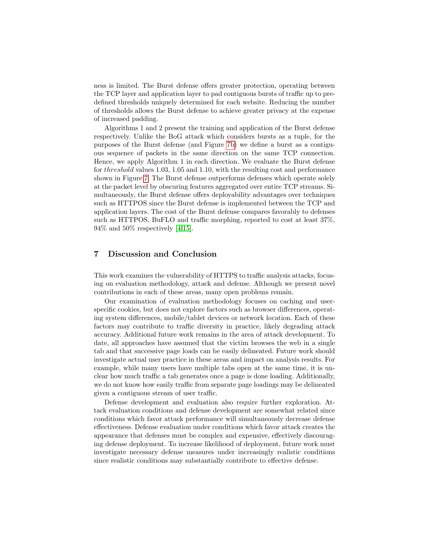ness is limited. The Burst defense offers greater protection, operating between the TCP layer and application layer to pad contiguous bursts of traffic up to predefined thresholds uniquely determined for each website. Reducing the number of thresholds allows the Burst defense to achieve greater privacy at the expense of increased padding.

Algorithms 1 and 2 present the training and application of the Burst defense respectively. Unlike the BoG attack which considers bursts as a tuple, for the purposes of the Burst defense (and Figure [7b\)](#page-16-2) we define a burst as a contiguous sequence of packets in the same direction on the same TCP connection. Hence, we apply Algorithm 1 in each direction. We evaluate the Burst defense for threshold values 1.03, 1.05 and 1.10, with the resulting cost and performance shown in Figure [7.](#page-16-3) The Burst defense outperforms defenses which operate solely at the packet level by obscuring features aggregated over entire TCP streams. Simultaneously, the Burst defense offers deployability advantages over techniques such as HTTPOS since the Burst defense is implemented between the TCP and application layers. The cost of the Burst defense compares favorably to defenses such as HTTPOS, BuFLO and traffic morphing, reported to cost at least 37%, 94% and 50% respectively [\[4](#page-19-3)[,15\]](#page-19-14).

# 7 Discussion and Conclusion

This work examines the vulnerability of HTTPS to traffic analysis attacks, focusing on evaluation methodology, attack and defense. Although we present novel contributions in each of these areas, many open problems remain.

Our examination of evaluation methodology focuses on caching and userspecific cookies, but does not explore factors such as browser differences, operating system differences, mobile/tablet devices or network location. Each of these factors may contribute to traffic diversity in practice, likely degrading attack accuracy. Additional future work remains in the area of attack development. To date, all approaches have assumed that the victim browses the web in a single tab and that successive page loads can be easily delineated. Future work should investigate actual user practice in these areas and impact on analysis results. For example, while many users have multiple tabs open at the same time, it is unclear how much traffic a tab generates once a page is done loading. Additionally, we do not know how easily traffic from separate page loadings may be delineated given a contiguous stream of user traffic.

Defense development and evaluation also require further exploration. Attack evaluation conditions and defense development are somewhat related since conditions which favor attack performance will simultaneously decrease defense effectiveness. Defense evaluation under conditions which favor attack creates the appearance that defenses must be complex and expensive, effectively discouraging defense deployment. To increase likelihood of deployment, future work must investigate necessary defense measures under increasingly realistic conditions since realistic conditions may substantially contribute to effective defense.